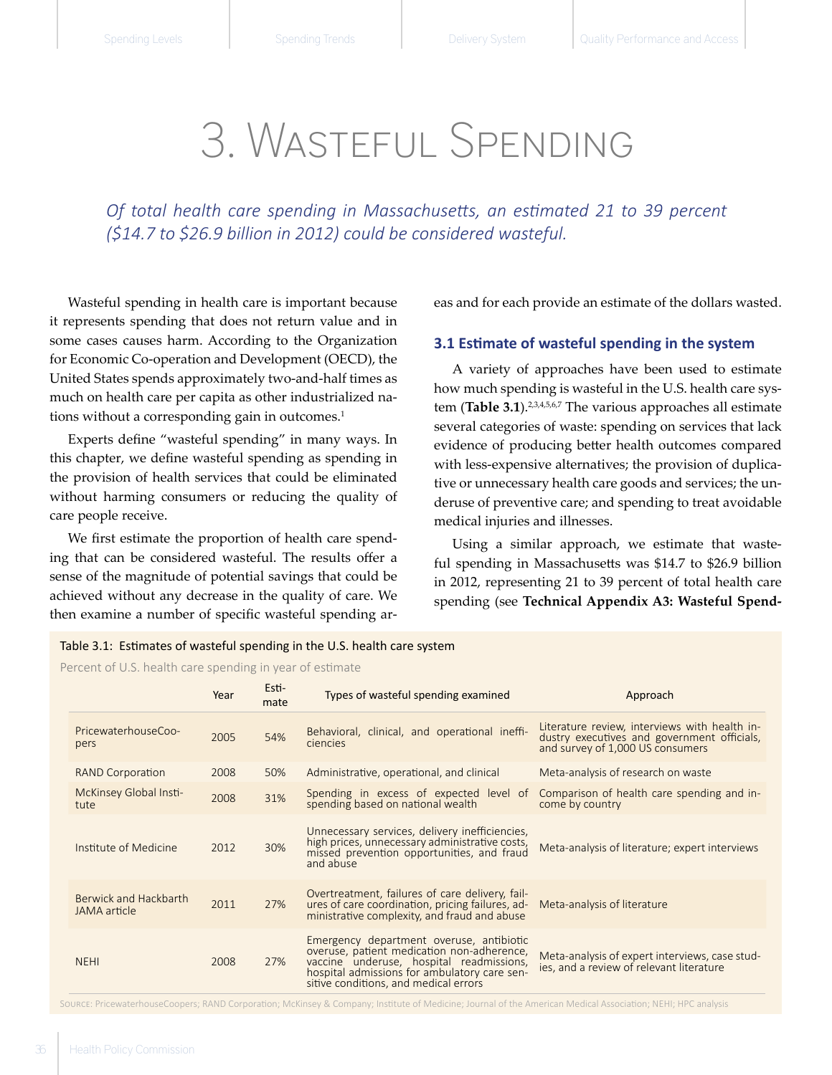# 3. Wasteful Spending

*Of total health care spending in Massachusetts, an estimated 21 to 39 percent (\$14.7 to \$26.9 billion in 2012) could be considered wasteful.*

Wasteful spending in health care is important because it represents spending that does not return value and in some cases causes harm. According to the Organization for Economic Co-operation and Development (OECD), the United States spends approximately two-and-half times as much on health care per capita as other industrialized nations without a corresponding gain in outcomes.<sup>1</sup>

Experts define "wasteful spending" in many ways. In this chapter, we define wasteful spending as spending in the provision of health services that could be eliminated without harming consumers or reducing the quality of care people receive.

We first estimate the proportion of health care spending that can be considered wasteful. The results offer a sense of the magnitude of potential savings that could be achieved without any decrease in the quality of care. We then examine a number of specific wasteful spending areas and for each provide an estimate of the dollars wasted.

### **3.1 Estimate of wasteful spending in the system**

A variety of approaches have been used to estimate how much spending is wasteful in the U.S. health care system (Table 3.1).<sup>2,3,4,5,6,7</sup> The various approaches all estimate several categories of waste: spending on services that lack evidence of producing better health outcomes compared with less-expensive alternatives; the provision of duplicative or unnecessary health care goods and services; the underuse of preventive care; and spending to treat avoidable medical injuries and illnesses.

Using a similar approach, we estimate that wasteful spending in Massachusetts was \$14.7 to \$26.9 billion in 2012, representing 21 to 39 percent of total health care spending (see **Technical Appendix A3: Wasteful Spend-**

### Table 3.1: Estimates of wasteful spending in the U.S. health care system

Percent of U.S. health care spending in year of estimate

|                                       | Year | Esti-<br>mate | Types of wasteful spending examined                                                                                                                                                                                         | Approach                                                                                                                         |
|---------------------------------------|------|---------------|-----------------------------------------------------------------------------------------------------------------------------------------------------------------------------------------------------------------------------|----------------------------------------------------------------------------------------------------------------------------------|
| PricewaterhouseCoo-<br>pers           | 2005 | 54%           | Behavioral, clinical, and operational ineffi-<br><b>ciencies</b>                                                                                                                                                            | Literature review, interviews with health in-<br>dustry executives and government officials,<br>and survey of 1,000 US consumers |
| <b>RAND Corporation</b>               | 2008 | 50%           | Meta-analysis of research on waste<br>Administrative, operational, and clinical                                                                                                                                             |                                                                                                                                  |
| <b>McKinsey Global Insti-</b><br>tute | 2008 | 31%           | Spending in excess of expected level of<br>spending based on national wealth                                                                                                                                                | Comparison of health care spending and in-<br>come by country                                                                    |
| Institute of Medicine                 | 2012 | 30%           | Unnecessary services, delivery inefficiencies,<br>high prices, unnecessary administrative costs,<br>Meta-analysis of literature; expert interviews<br>missed prevention opportunities, and fraud<br>and abuse               |                                                                                                                                  |
| Berwick and Hackbarth<br>JAMA article | 2011 | 27%           | Overtreatment, failures of care delivery, fail-<br>ures of care coordination, pricing failures, ad-<br>Meta-analysis of literature<br>ministrative complexity, and fraud and abuse                                          |                                                                                                                                  |
| <b>NEHI</b>                           | 2008 | 27%           | Emergency department overuse, antibiotic<br>overuse, patient medication non-adherence,<br>vaccine underuse, hospital readmissions,<br>hospital admissions for ambulatory care sen-<br>sitive conditions, and medical errors | Meta-analysis of expert interviews, case stud-<br>ies, and a review of relevant literature                                       |

Source: PricewaterhouseCoopers; RAND Corporation; McKinsey & Company; Institute of Medicine; Journal of the American Medical Association; NEHI; HPC analysis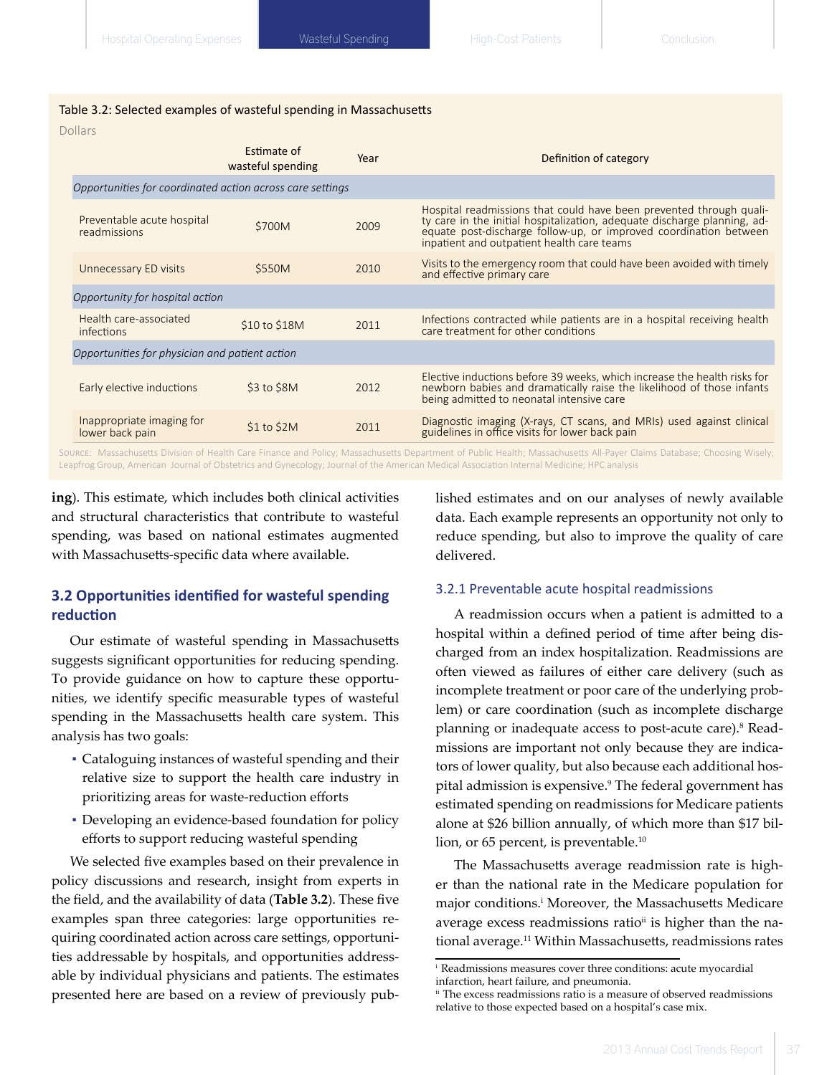### Table 3.2: Selected examples of wasteful spending in Massachusetts

Dollars

|                                                                                                                                                                        | Estimate of<br>wasteful spending | Year | Definition of category                                                                                                                                                                                                                                             |  |  |  |
|------------------------------------------------------------------------------------------------------------------------------------------------------------------------|----------------------------------|------|--------------------------------------------------------------------------------------------------------------------------------------------------------------------------------------------------------------------------------------------------------------------|--|--|--|
| Opportunities for coordinated action across care settings                                                                                                              |                                  |      |                                                                                                                                                                                                                                                                    |  |  |  |
| Preventable acute hospital<br>readmissions                                                                                                                             | \$700M                           | 2009 | Hospital readmissions that could have been prevented through quali-<br>ty care in the initial hospitalization, adequate discharge planning, ad-<br>equate post-discharge follow-up, or improved coordination between<br>inpatient and outpatient health care teams |  |  |  |
| Unnecessary ED visits                                                                                                                                                  | \$550M                           | 2010 | Visits to the emergency room that could have been avoided with timely<br>and effective primary care                                                                                                                                                                |  |  |  |
| Opportunity for hospital action                                                                                                                                        |                                  |      |                                                                                                                                                                                                                                                                    |  |  |  |
| Health care-associated<br>infections                                                                                                                                   | \$10 to \$18M                    | 2011 | Infections contracted while patients are in a hospital receiving health<br>care treatment for other conditions                                                                                                                                                     |  |  |  |
| Opportunities for physician and patient action                                                                                                                         |                                  |      |                                                                                                                                                                                                                                                                    |  |  |  |
| Early elective inductions                                                                                                                                              | $$3$ to $$8M$                    | 2012 | Elective inductions before 39 weeks, which increase the health risks for<br>newborn babies and dramatically raise the likelihood of those infants<br>being admitted to neonatal intensive care                                                                     |  |  |  |
| Inappropriate imaging for<br>lower back pain                                                                                                                           | $$1$ to $$2M$                    | 2011 | Diagnostic imaging (X-rays, CT scans, and MRIs) used against clinical guidelines in office visits for lower back pain                                                                                                                                              |  |  |  |
| Source: Massachusetts Division of Health Care Finance and Policy; Massachusetts Department of Public Health; Massachusetts All-Payer Claims Database; Choosing Wisely; |                                  |      |                                                                                                                                                                                                                                                                    |  |  |  |

Leapfrog Group, American Journal of Obstetrics and Gynecology; Journal of the American Medical Association Internal Medicine; HPC analysis

**ing**). This estimate, which includes both clinical activities and structural characteristics that contribute to wasteful spending, was based on national estimates augmented with Massachusetts-specific data where available.

## **3.2 Opportunities identified for wasteful spending reduction**

Our estimate of wasteful spending in Massachusetts suggests significant opportunities for reducing spending. To provide guidance on how to capture these opportunities, we identify specific measurable types of wasteful spending in the Massachusetts health care system. This analysis has two goals:

- Cataloguing instances of wasteful spending and their relative size to support the health care industry in prioritizing areas for waste-reduction efforts
- Developing an evidence-based foundation for policy efforts to support reducing wasteful spending

We selected five examples based on their prevalence in policy discussions and research, insight from experts in the field, and the availability of data (**Table 3.2**). These five examples span three categories: large opportunities requiring coordinated action across care settings, opportunities addressable by hospitals, and opportunities addressable by individual physicians and patients. The estimates presented here are based on a review of previously published estimates and on our analyses of newly available data. Each example represents an opportunity not only to reduce spending, but also to improve the quality of care delivered.

#### 3.2.1 Preventable acute hospital readmissions

A readmission occurs when a patient is admitted to a hospital within a defined period of time after being discharged from an index hospitalization. Readmissions are often viewed as failures of either care delivery (such as incomplete treatment or poor care of the underlying problem) or care coordination (such as incomplete discharge planning or inadequate access to post-acute care).<sup>8</sup> Readmissions are important not only because they are indicators of lower quality, but also because each additional hospital admission is expensive.<sup>9</sup> The federal government has estimated spending on readmissions for Medicare patients alone at \$26 billion annually, of which more than \$17 billion, or 65 percent, is preventable.<sup>10</sup>

The Massachusetts average readmission rate is higher than the national rate in the Medicare population for major conditions.<sup>i</sup> Moreover, the Massachusetts Medicare average excess readmissions ratio<sup>ii</sup> is higher than the national average.11 Within Massachusetts, readmissions rates

i   Readmissions measures cover three conditions: acute myocardial infarction, heart failure, and pneumonia.

ii  The excess readmissions ratio is a measure of observed readmissions relative to those expected based on a hospital's case mix.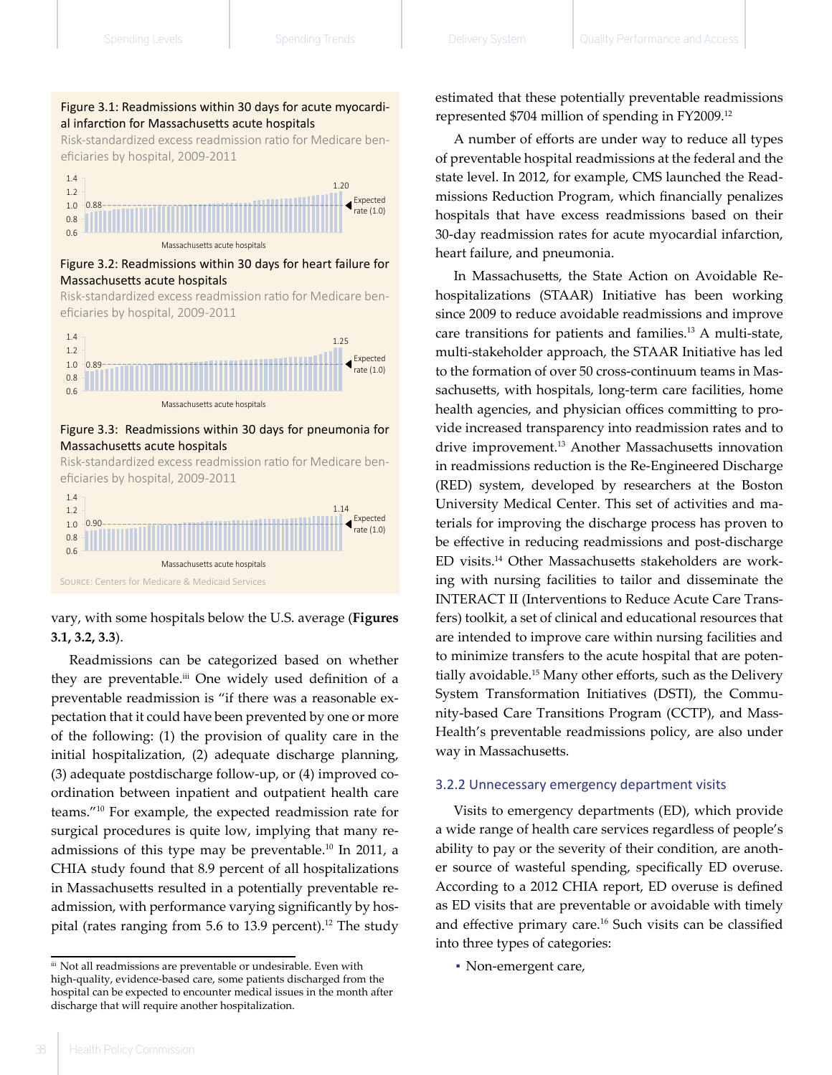#### Figure 3.1: Readmissions within 30 days for acute myocardial infarction for Massachusetts acute hospitals Risk-standardized excess readmissions ratio for Medicare beneficiaries by hospital, 2009-2011

Risk-standardized excess readmission ratio for Medicare beneficiaries by hospital, 2009-2011



Massachusetts acute hospitals

Figure 3.2: Readmissions within 30 days for heart failure for Massachusetts acute hospitals Figure 3.2: Readmissions within 30 days for heart failure for Massachusetts acute hospitals

eficiaries by hospital, 2009-2011 Risk-standardized excess readmission ratio for Medicare ben-



#### Figure 3.3: Readmissions within 30 days for pneumonia for Massachusetts acute hospitals

eficiaries by hospital, 2009-2011 Risk-standardized excess readmission ratio for Medicare ben-



vary, with some hospitals below the U.S. average (**Figures 3.1, 3.2, 3.3**).

Readmissions can be categorized based on whether they are preventable.<sup>iii</sup> One widely used definition of a preventable readmission is "if there was a reasonable expectation that it could have been prevented by one or more of the following: (1) the provision of quality care in the initial hospitalization, (2) adequate discharge planning, (3) adequate postdischarge follow-up, or (4) improved coordination between inpatient and outpatient health care teams."<sup>10</sup> For example, the expected readmission rate for surgical procedures is quite low, implying that many readmissions of this type may be preventable.10 In 2011, a CHIA study found that 8.9 percent of all hospitalizations in Massachusetts resulted in a potentially preventable readmission, with performance varying significantly by hospital (rates ranging from  $5.6$  to  $13.9$  percent).<sup>12</sup> The study estimated that these potentially preventable readmissions represented \$704 million of spending in FY2009.<sup>12</sup>

A number of efforts are under way to reduce all types of preventable hospital readmissions at the federal and the state level. In 2012, for example, CMS launched the Readmissions Reduction Program, which financially penalizes hospitals that have excess readmissions based on their 30-day readmission rates for acute myocardial infarction, heart failure, and pneumonia.

In Massachusetts, the State Action on Avoidable Rehospitalizations (STAAR) Initiative has been working since 2009 to reduce avoidable readmissions and improve care transitions for patients and families.<sup>13</sup> A multi-state, multi-stakeholder approach, the STAAR Initiative has led to the formation of over 50 cross-continuum teams in Massachusetts, with hospitals, long-term care facilities, home health agencies, and physician offices committing to provide increased transparency into readmission rates and to drive improvement.13 Another Massachusetts innovation in readmissions reduction is the Re-Engineered Discharge (RED) system, developed by researchers at the Boston University Medical Center. This set of activities and materials for improving the discharge process has proven to be effective in reducing readmissions and post-discharge ED visits.14 Other Massachusetts stakeholders are working with nursing facilities to tailor and disseminate the INTERACT II (Interventions to Reduce Acute Care Transfers) toolkit, a set of clinical and educational resources that are intended to improve care within nursing facilities and to minimize transfers to the acute hospital that are potentially avoidable.<sup>15</sup> Many other efforts, such as the Delivery System Transformation Initiatives (DSTI), the Community-based Care Transitions Program (CCTP), and Mass-Health's preventable readmissions policy, are also under way in Massachusetts.

#### 3.2.2 Unnecessary emergency department visits

Visits to emergency departments (ED), which provide a wide range of health care services regardless of people's ability to pay or the severity of their condition, are another source of wasteful spending, specifically ED overuse. According to a 2012 CHIA report, ED overuse is defined as ED visits that are preventable or avoidable with timely and effective primary care.<sup>16</sup> Such visits can be classified into three types of categories:

▪ Non-emergent care,

iii Not all readmissions are preventable or undesirable. Even with high-quality, evidence-based care, some patients discharged from the hospital can be expected to encounter medical issues in the month after discharge that will require another hospitalization.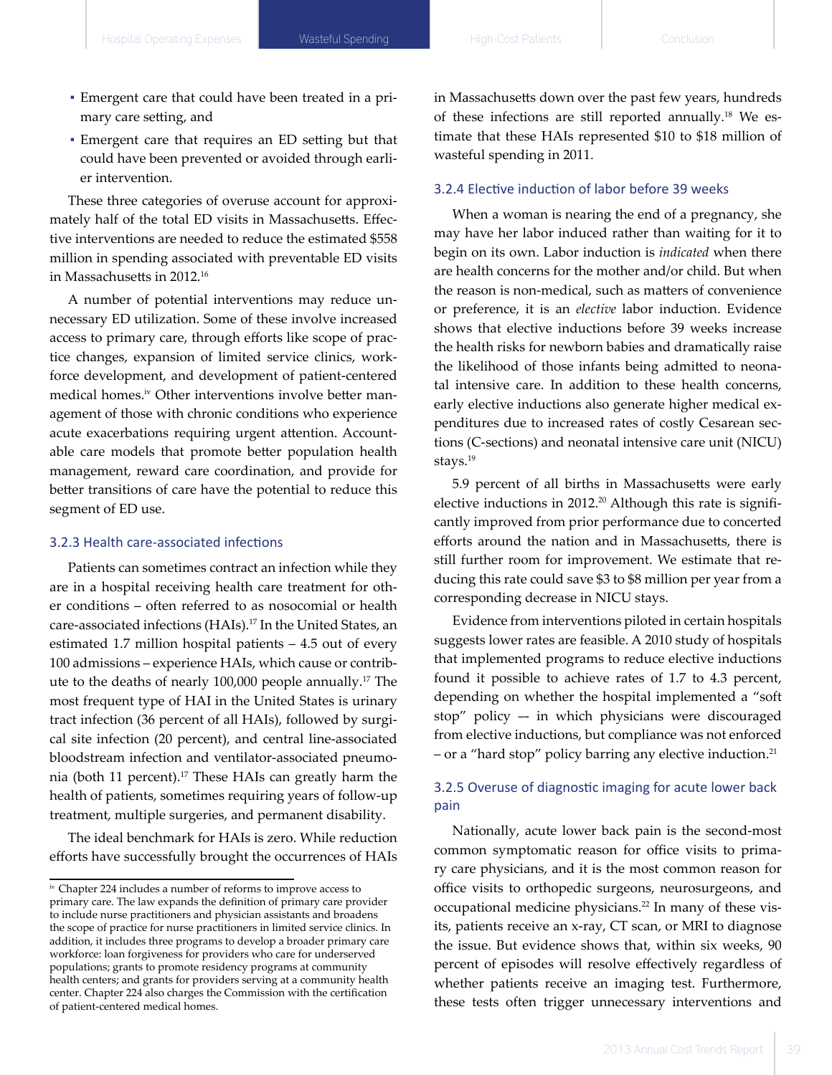- Emergent care that could have been treated in a primary care setting, and
- Emergent care that requires an ED setting but that could have been prevented or avoided through earlier intervention.

These three categories of overuse account for approximately half of the total ED visits in Massachusetts. Effective interventions are needed to reduce the estimated \$558 million in spending associated with preventable ED visits in Massachusetts in 2012.<sup>16</sup>

A number of potential interventions may reduce unnecessary ED utilization. Some of these involve increased access to primary care, through efforts like scope of practice changes, expansion of limited service clinics, workforce development, and development of patient-centered medical homes.iv Other interventions involve better management of those with chronic conditions who experience acute exacerbations requiring urgent attention. Accountable care models that promote better population health management, reward care coordination, and provide for better transitions of care have the potential to reduce this segment of ED use.

## 3.2.3 Health care-associated infections

Patients can sometimes contract an infection while they are in a hospital receiving health care treatment for other conditions – often referred to as nosocomial or health care-associated infections (HAIs).<sup>17</sup> In the United States, an estimated 1.7 million hospital patients – 4.5 out of every 100 admissions – experience HAIs, which cause or contribute to the deaths of nearly 100,000 people annually.17 The most frequent type of HAI in the United States is urinary tract infection (36 percent of all HAIs), followed by surgical site infection (20 percent), and central line-associated bloodstream infection and ventilator-associated pneumonia (both 11 percent).<sup>17</sup> These HAIs can greatly harm the health of patients, sometimes requiring years of follow-up treatment, multiple surgeries, and permanent disability.

The ideal benchmark for HAIs is zero. While reduction efforts have successfully brought the occurrences of HAIs

in Massachusetts down over the past few years, hundreds of these infections are still reported annually.18 We estimate that these HAIs represented \$10 to \$18 million of wasteful spending in 2011.

## 3.2.4 Elective induction of labor before 39 weeks

When a woman is nearing the end of a pregnancy, she may have her labor induced rather than waiting for it to begin on its own. Labor induction is *indicated* when there are health concerns for the mother and/or child. But when the reason is non-medical, such as matters of convenience or preference, it is an *elective* labor induction. Evidence shows that elective inductions before 39 weeks increase the health risks for newborn babies and dramatically raise the likelihood of those infants being admitted to neonatal intensive care. In addition to these health concerns, early elective inductions also generate higher medical expenditures due to increased rates of costly Cesarean sections (C-sections) and neonatal intensive care unit (NICU) stays.<sup>19</sup>

5.9 percent of all births in Massachusetts were early elective inductions in 2012. $20$  Although this rate is significantly improved from prior performance due to concerted efforts around the nation and in Massachusetts, there is still further room for improvement. We estimate that reducing this rate could save \$3 to \$8 million per year from a corresponding decrease in NICU stays.

Evidence from interventions piloted in certain hospitals suggests lower rates are feasible. A 2010 study of hospitals that implemented programs to reduce elective inductions found it possible to achieve rates of 1.7 to 4.3 percent, depending on whether the hospital implemented a "soft stop" policy –- in which physicians were discouraged from elective inductions, but compliance was not enforced – or a "hard stop" policy barring any elective induction.<sup>21</sup>

## 3.2.5 Overuse of diagnostic imaging for acute lower back pain

Nationally, acute lower back pain is the second-most common symptomatic reason for office visits to primary care physicians, and it is the most common reason for office visits to orthopedic surgeons, neurosurgeons, and occupational medicine physicians.<sup>22</sup> In many of these visits, patients receive an x-ray, CT scan, or MRI to diagnose the issue. But evidence shows that, within six weeks, 90 percent of episodes will resolve effectively regardless of whether patients receive an imaging test. Furthermore, these tests often trigger unnecessary interventions and

<sup>&</sup>lt;sup>iv</sup> Chapter 224 includes a number of reforms to improve access to primary care. The law expands the definition of primary care provider to include nurse practitioners and physician assistants and broadens the scope of practice for nurse practitioners in limited service clinics. In addition, it includes three programs to develop a broader primary care workforce: loan forgiveness for providers who care for underserved populations; grants to promote residency programs at community health centers; and grants for providers serving at a community health center. Chapter 224 also charges the Commission with the certification of patient-centered medical homes.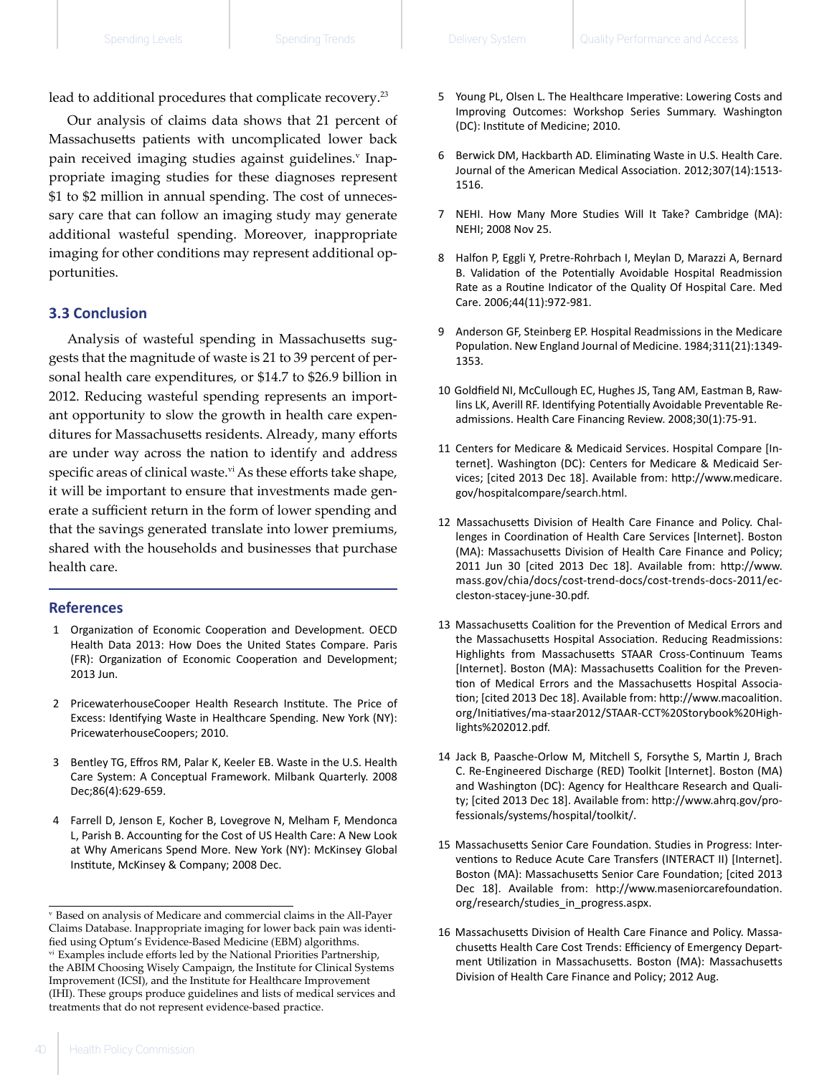lead to additional procedures that complicate recovery.<sup>23</sup>

Our analysis of claims data shows that 21 percent of Massachusetts patients with uncomplicated lower back pain received imaging studies against guidelines.<sup>v</sup> Inappropriate imaging studies for these diagnoses represent \$1 to \$2 million in annual spending. The cost of unnecessary care that can follow an imaging study may generate additional wasteful spending. Moreover, inappropriate imaging for other conditions may represent additional opportunities.

### **3.3 Conclusion**

Analysis of wasteful spending in Massachusetts suggests that the magnitude of waste is 21 to 39 percent of personal health care expenditures, or \$14.7 to \$26.9 billion in 2012. Reducing wasteful spending represents an important opportunity to slow the growth in health care expenditures for Massachusetts residents. Already, many efforts are under way across the nation to identify and address specific areas of clinical waste.<sup>vi</sup> As these efforts take shape, it will be important to ensure that investments made generate a sufficient return in the form of lower spending and that the savings generated translate into lower premiums, shared with the households and businesses that purchase health care.

#### **References**

- 1  Organization of Economic Cooperation and Development. OECD Health Data 2013: How Does the United States Compare. Paris (FR): Organization of Economic Cooperation and Development; 2013 Jun.
- 2  PricewaterhouseCooper Health Research Institute. The Price of Excess: Identifying Waste in Healthcare Spending. New York (NY): PricewaterhouseCoopers; 2010.
- 3  Bentley TG, Effros RM, Palar K, Keeler EB. Waste in the U.S. Health Care System: A Conceptual Framework. Milbank Quarterly. 2008 Dec;86(4):629-659.
- 4  Farrell D, Jenson E, Kocher B, Lovegrove N, Melham F, Mendonca L, Parish B. Accounting for the Cost of US Health Care: A New Look at Why Americans Spend More. New York (NY): McKinsey Global Institute, McKinsey & Company; 2008 Dec.
- 5  Young PL, Olsen L. The Healthcare Imperative: Lowering Costs and Improving Outcomes: Workshop Series Summary. Washington (DC): Institute of Medicine; 2010.
- 6  Berwick DM, Hackbarth AD. Eliminating Waste in U.S. Health Care. Journal of the American Medical Association. 2012;307(14):1513- 1516.
- 7  NEHI. How Many More Studies Will It Take? Cambridge (MA): NEHI; 2008 Nov 25.
- 8  Halfon P, Eggli Y, Pretre-Rohrbach I, Meylan D, Marazzi A, Bernard B. Validation of the Potentially Avoidable Hospital Readmission Rate as a Routine Indicator of the Quality Of Hospital Care. Med Care. 2006;44(11):972-981.
- 9  Anderson GF, Steinberg EP. Hospital Readmissions in the Medicare Population. New England Journal of Medicine. 1984;311(21):1349- 1353.
- 10  Goldfield NI, McCullough EC, Hughes JS, Tang AM, Eastman B, Rawlins LK, Averill RF. Identifying Potentially Avoidable Preventable Readmissions. Health Care Financing Review. 2008;30(1):75-91.
- 11  Centers for Medicare & Medicaid Services. Hospital Compare [Internet]. Washington (DC): Centers for Medicare & Medicaid Services; [cited 2013 Dec 18]. Available from: http://www.medicare. gov/hospitalcompare/search.html.
- 12  Massachusetts Division of Health Care Finance and Policy. Challenges in Coordination of Health Care Services [Internet]. Boston (MA): Massachusetts Division of Health Care Finance and Policy; 2011 Jun 30 [cited 2013 Dec 18]. Available from: http://www. mass.gov/chia/docs/cost-trend-docs/cost-trends-docs-2011/eccleston-stacey-june-30.pdf.
- 13  Massachusetts Coalition for the Prevention of Medical Errors and the Massachusetts Hospital Association. Reducing Readmissions: Highlights from Massachusetts STAAR Cross-Continuum Teams [Internet]. Boston (MA): Massachusetts Coalition for the Prevention of Medical Errors and the Massachusetts Hospital Association; [cited 2013 Dec 18]. Available from: http://www.macoalition. org/Initiatives/ma-staar2012/STAAR-CCT%20Storybook%20Highlights%202012.pdf.
- 14  Jack B, Paasche-Orlow M, Mitchell S, Forsythe S, Martin J, Brach C. Re-Engineered Discharge (RED) Toolkit [Internet]. Boston (MA) and Washington (DC): Agency for Healthcare Research and Quality; [cited 2013 Dec 18]. Available from: http://www.ahrq.gov/professionals/systems/hospital/toolkit/.
- 15  Massachusetts Senior Care Foundation. Studies in Progress: Interventions to Reduce Acute Care Transfers (INTERACT II) [Internet]. Boston (MA): Massachusetts Senior Care Foundation; [cited 2013 Dec 18]. Available from: http://www.maseniorcarefoundation. org/research/studies\_in\_progress.aspx.
- 16  Massachusetts Division of Health Care Finance and Policy. Massachusetts Health Care Cost Trends: Efficiency of Emergency Department Utilization in Massachusetts. Boston (MA): Massachusetts Division of Health Care Finance and Policy; 2012 Aug.

v   Based on analysis of Medicare and commercial claims in the All-Payer Claims Database. Inappropriate imaging for lower back pain was identified using Optum's Evidence-Based Medicine (EBM) algorithms. vi  Examples include efforts led by the National Priorities Partnership, the ABIM Choosing Wisely Campaign, the Institute for Clinical Systems Improvement (ICSI), and the Institute for Healthcare Improvement (IHI). These groups produce guidelines and lists of medical services and treatments that do not represent evidence-based practice.